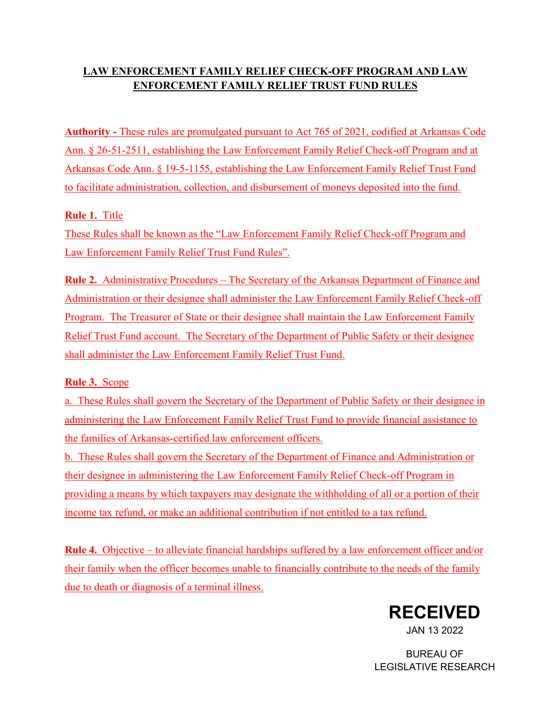# **LAW ENFORCEMENT FAMILY RELIEF CHECK-OFF PROGRAM AND LAW ENFORCEMENT FAMILY RELIEF TRUST FUND RULES**

**Authority -** These rules are promulgated pursuant to Act 765 of 2021, codified at Arkansas Code Ann. § 26-51-2511, establishing the Law Enforcement Family Relief Check-off Program and at Arkansas Code Ann. § 19-5-1155, establishing the Law Enforcement Family Relief Trust Fund to facilitate administration, collection, and disbursement of moneys deposited into the fund.

## **Rule 1.** Title

These Rules shall be known as the "Law Enforcement Family Relief Check-off Program and Law Enforcement Family Relief Trust Fund Rules".

**Rule 2.** Administrative Procedures – The Secretary of the Arkansas Department of Finance and Administration or their designee shall administer the Law Enforcement Family Relief Check-off Program. The Treasurer of State or their designee shall maintain the Law Enforcement Family Relief Trust Fund account. The Secretary of the Department of Public Safety or their designee shall administer the Law Enforcement Family Relief Trust Fund.

# **Rule 3.** Scope

a. These Rules shall govern the Secretary of the Department of Public Safety or their designee in administering the Law Enforcement Family Relief Trust Fund to provide financial assistance to the families of Arkansas-certified law enforcement officers.

b. These Rules shall govern the Secretary of the Department of Finance and Administration or their designee in administering the Law Enforcement Family Relief Check-off Program in providing a means by which taxpayers may designate the withholding of all or a portion of their income tax refund, or make an additional contribution if not entitled to a tax refund.

**Rule 4.** Objective – to alleviate financial hardships suffered by a law enforcement officer and/or their family when the officer becomes unable to financially contribute to the needs of the family due to death or diagnosis of a terminal illness.



JAN 13 2022

BUREAU OF LEGISLATIVE RESEARCH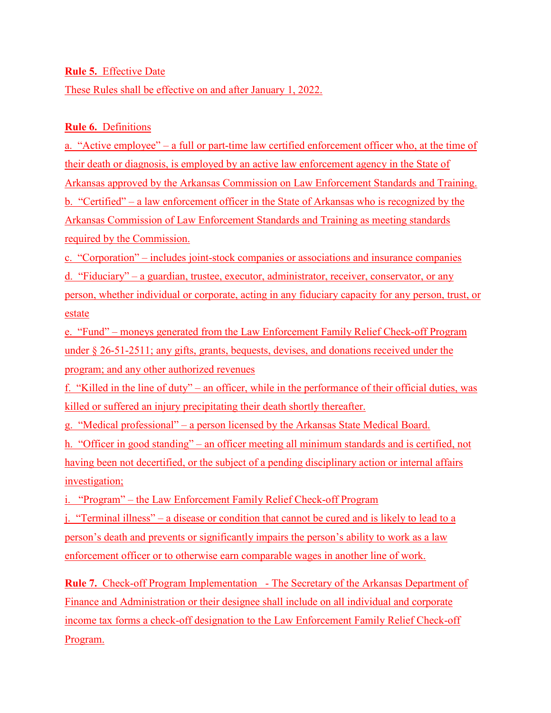### **Rule 5.** Effective Date

These Rules shall be effective on and after January 1, 2022.

### **Rule 6.** Definitions

a. "Active employee" – a full or part-time law certified enforcement officer who, at the time of their death or diagnosis, is employed by an active law enforcement agency in the State of Arkansas approved by the Arkansas Commission on Law Enforcement Standards and Training. b. "Certified" – a law enforcement officer in the State of Arkansas who is recognized by the Arkansas Commission of Law Enforcement Standards and Training as meeting standards required by the Commission.

c. "Corporation" – includes joint-stock companies or associations and insurance companies d. "Fiduciary" – a guardian, trustee, executor, administrator, receiver, conservator, or any person, whether individual or corporate, acting in any fiduciary capacity for any person, trust, or estate

e. "Fund" – moneys generated from the Law Enforcement Family Relief Check-off Program under § 26-51-2511; any gifts, grants, bequests, devises, and donations received under the program; and any other authorized revenues

f. "Killed in the line of duty" – an officer, while in the performance of their official duties, was killed or suffered an injury precipitating their death shortly thereafter.

g. "Medical professional" – a person licensed by the Arkansas State Medical Board.

h. "Officer in good standing" – an officer meeting all minimum standards and is certified, not having been not decertified, or the subject of a pending disciplinary action or internal affairs investigation;

i. "Program" – the Law Enforcement Family Relief Check-off Program

j. "Terminal illness" – a disease or condition that cannot be cured and is likely to lead to a person's death and prevents or significantly impairs the person's ability to work as a law enforcement officer or to otherwise earn comparable wages in another line of work.

**Rule 7.** Check-off Program Implementation - The Secretary of the Arkansas Department of Finance and Administration or their designee shall include on all individual and corporate income tax forms a check-off designation to the Law Enforcement Family Relief Check-off Program.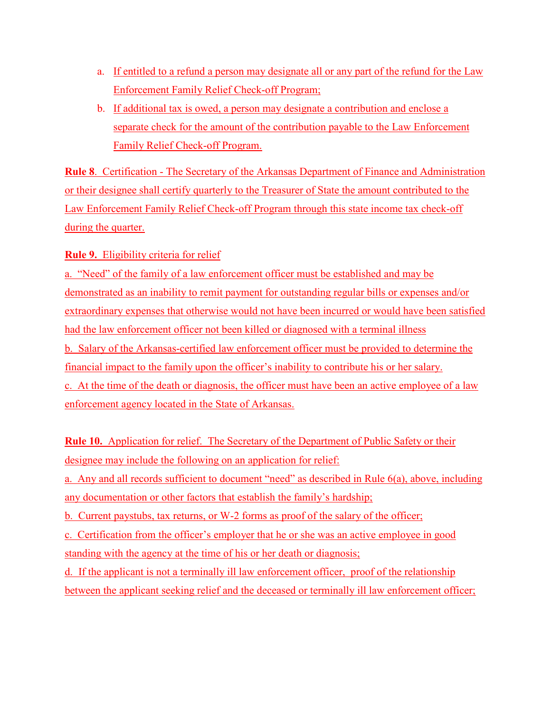- a. If entitled to a refund a person may designate all or any part of the refund for the Law Enforcement Family Relief Check-off Program;
- b. If additional tax is owed, a person may designate a contribution and enclose a separate check for the amount of the contribution payable to the Law Enforcement Family Relief Check-off Program.

**Rule 8**. Certification - The Secretary of the Arkansas Department of Finance and Administration or their designee shall certify quarterly to the Treasurer of State the amount contributed to the Law Enforcement Family Relief Check-off Program through this state income tax check-off during the quarter.

## **Rule 9.** Eligibility criteria for relief

a. "Need" of the family of a law enforcement officer must be established and may be demonstrated as an inability to remit payment for outstanding regular bills or expenses and/or extraordinary expenses that otherwise would not have been incurred or would have been satisfied had the law enforcement officer not been killed or diagnosed with a terminal illness b. Salary of the Arkansas-certified law enforcement officer must be provided to determine the financial impact to the family upon the officer's inability to contribute his or her salary. c. At the time of the death or diagnosis, the officer must have been an active employee of a law enforcement agency located in the State of Arkansas.

**Rule 10.** Application for relief. The Secretary of the Department of Public Safety or their designee may include the following on an application for relief: a. Any and all records sufficient to document "need" as described in Rule 6(a), above, including any documentation or other factors that establish the family's hardship; b. Current paystubs, tax returns, or W-2 forms as proof of the salary of the officer; c. Certification from the officer's employer that he or she was an active employee in good standing with the agency at the time of his or her death or diagnosis; d. If the applicant is not a terminally ill law enforcement officer, proof of the relationship between the applicant seeking relief and the deceased or terminally ill law enforcement officer;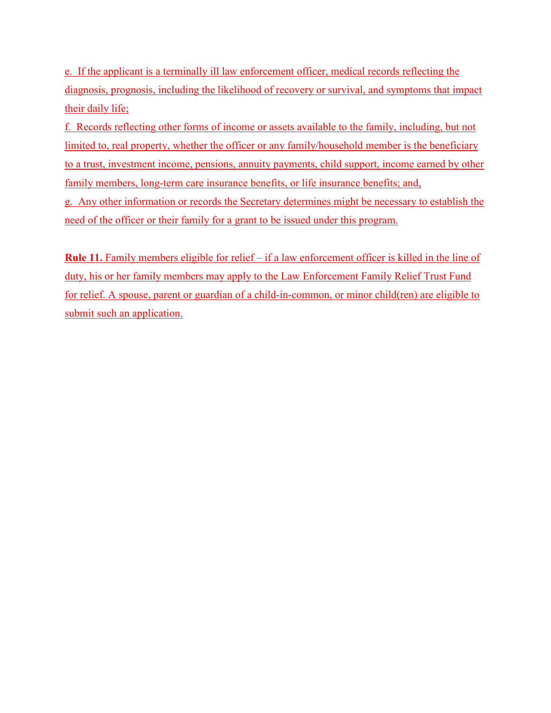e. If the applicant is a terminally ill law enforcement officer, medical records reflecting the diagnosis, prognosis, including the likelihood of recovery or survival, and symptoms that impact their daily life;

f. Records reflecting other forms of income or assets available to the family, including, but not limited to, real property, whether the officer or any family/household member is the beneficiary to a trust, investment income, pensions, annuity payments, child support, income earned by other family members, long-term care insurance benefits, or life insurance benefits; and,

g. Any other information or records the Secretary determines might be necessary to establish the need of the officer or their family for a grant to be issued under this program.

**Rule 11.** Family members eligible for relief – if a law enforcement officer is killed in the line of duty, his or her family members may apply to the Law Enforcement Family Relief Trust Fund for relief. A spouse, parent or guardian of a child-in-common, or minor child(ren) are eligible to submit such an application.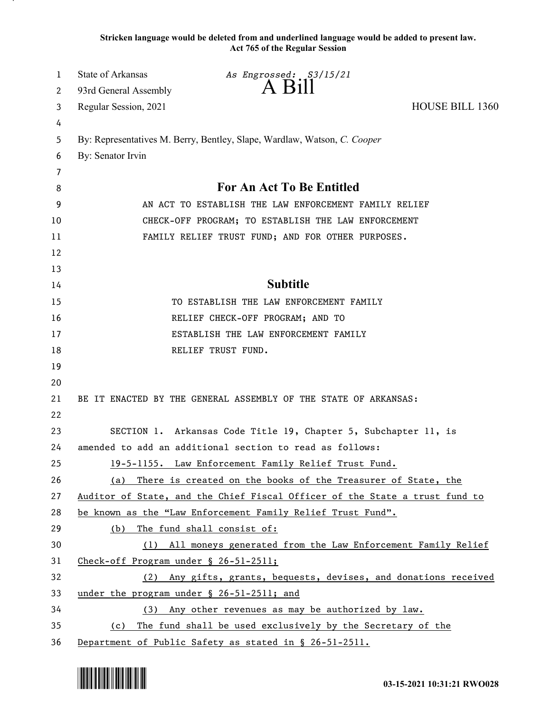**Stricken language would be deleted from and underlined language would be added to present law. Act 765 of the Regular Session**

| 1  | State of Arkansas                         | As Engrossed: S3/15/21                                                      |                        |
|----|-------------------------------------------|-----------------------------------------------------------------------------|------------------------|
| 2  | 93rd General Assembly                     | A B1ll                                                                      |                        |
| 3  | Regular Session, 2021                     |                                                                             | <b>HOUSE BILL 1360</b> |
| 4  |                                           |                                                                             |                        |
| 5  |                                           | By: Representatives M. Berry, Bentley, Slape, Wardlaw, Watson, C. Cooper    |                        |
| 6  | By: Senator Irvin                         |                                                                             |                        |
| 7  |                                           |                                                                             |                        |
| 8  |                                           | For An Act To Be Entitled                                                   |                        |
| 9  |                                           | AN ACT TO ESTABLISH THE LAW ENFORCEMENT FAMILY RELIEF                       |                        |
| 10 |                                           | CHECK-OFF PROGRAM; TO ESTABLISH THE LAW ENFORCEMENT                         |                        |
| 11 |                                           | FAMILY RELIEF TRUST FUND; AND FOR OTHER PURPOSES.                           |                        |
| 12 |                                           |                                                                             |                        |
| 13 |                                           |                                                                             |                        |
| 14 |                                           | <b>Subtitle</b>                                                             |                        |
| 15 |                                           | TO ESTABLISH THE LAW ENFORCEMENT FAMILY                                     |                        |
| 16 |                                           | RELIEF CHECK-OFF PROGRAM; AND TO                                            |                        |
| 17 |                                           | ESTABLISH THE LAW ENFORCEMENT FAMILY                                        |                        |
| 18 |                                           | RELIEF TRUST FUND.                                                          |                        |
| 19 |                                           |                                                                             |                        |
| 20 |                                           |                                                                             |                        |
| 21 |                                           | BE IT ENACTED BY THE GENERAL ASSEMBLY OF THE STATE OF ARKANSAS:             |                        |
| 22 |                                           |                                                                             |                        |
| 23 |                                           | SECTION 1. Arkansas Code Title 19, Chapter 5, Subchapter 11, is             |                        |
| 24 |                                           | amended to add an additional section to read as follows:                    |                        |
| 25 |                                           | 19-5-1155. Law Enforcement Family Relief Trust Fund.                        |                        |
| 26 |                                           | (a) There is created on the books of the Treasurer of State, the            |                        |
| 27 |                                           | Auditor of State, and the Chief Fiscal Officer of the State a trust fund to |                        |
| 28 |                                           | be known as the "Law Enforcement Family Relief Trust Fund".                 |                        |
| 29 | (b)                                       | The fund shall consist of:                                                  |                        |
| 30 |                                           | (1) All moneys generated from the Law Enforcement Family Relief             |                        |
| 31 | Check-off Program under § 26-51-2511;     |                                                                             |                        |
| 32 |                                           | (2) Any gifts, grants, bequests, devises, and donations received            |                        |
| 33 | under the program under § 26-51-2511; and |                                                                             |                        |
| 34 |                                           | (3) Any other revenues as may be authorized by law.                         |                        |
| 35 | (c)                                       | The fund shall be used exclusively by the Secretary of the                  |                        |
| 36 |                                           | Department of Public Safety as stated in § 26-51-2511.                      |                        |

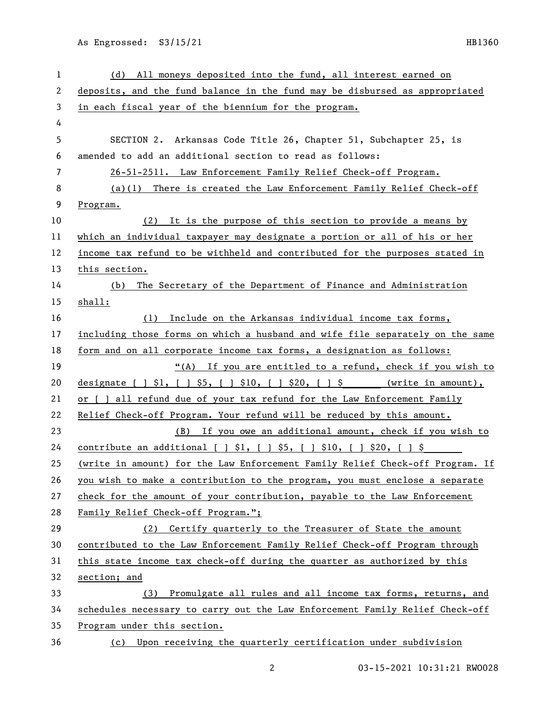As Engrossed: S3/15/21 HB1360

| 1  | (d) All moneys deposited into the fund, all interest earned on                |
|----|-------------------------------------------------------------------------------|
| 2  | deposits, and the fund balance in the fund may be disbursed as appropriated   |
| 3  | in each fiscal year of the biennium for the program.                          |
| 4  |                                                                               |
| 5  | SECTION 2. Arkansas Code Title 26, Chapter 51, Subchapter 25, is              |
| 6  | amended to add an additional section to read as follows:                      |
| 7  | 26-51-2511. Law Enforcement Family Relief Check-off Program.                  |
| 8  | (a)(1) There is created the Law Enforcement Family Relief Check-off           |
| 9  | Program.                                                                      |
| 10 | It is the purpose of this section to provide a means by<br>(2)                |
| 11 | which an individual taxpayer may designate a portion or all of his or her     |
| 12 | income tax refund to be withheld and contributed for the purposes stated in   |
| 13 | this section.                                                                 |
| 14 | The Secretary of the Department of Finance and Administration<br>(b)          |
| 15 | shall:                                                                        |
| 16 | Include on the Arkansas individual income tax forms,<br>(1)                   |
| 17 | including those forms on which a husband and wife file separately on the same |
| 18 | form and on all corporate income tax forms, a designation as follows:         |
| 19 | "(A) If you are entitled to a refund, check if you wish to                    |
| 20 | designate $[ ] $1, [ ] $5, [ ] $10, [ ] $20, [ ] $$ (write in amount),        |
| 21 | or [ ] all refund due of your tax refund for the Law Enforcement Family       |
| 22 | Relief Check-off Program. Your refund will be reduced by this amount.         |
| 23 | (B) If you owe an additional amount, check if you wish to                     |
| 24 | <u>contribute an additional [ ] \$1, [ ] \$5, [ ] \$10, [ ] \$20, [ ] \$</u>  |
| 25 | (write in amount) for the Law Enforcement Family Relief Check-off Program. If |
| 26 | you wish to make a contribution to the program, you must enclose a separate   |
| 27 | check for the amount of your contribution, payable to the Law Enforcement     |
| 28 | Family Relief Check-off Program.";                                            |
| 29 | Certify quarterly to the Treasurer of State the amount<br>(2)                 |
| 30 | contributed to the Law Enforcement Family Relief Check-off Program through    |
| 31 | this state income tax check-off during the quarter as authorized by this      |
| 32 | section; and                                                                  |
| 33 | Promulgate all rules and all income tax forms, returns, and<br>(3)            |
| 34 | schedules necessary to carry out the Law Enforcement Family Relief Check-off  |
| 35 | Program under this section.                                                   |
| 36 | Upon receiving the quarterly certification under subdivision<br>(c)           |

03-15-2021 10:31:21 RWO028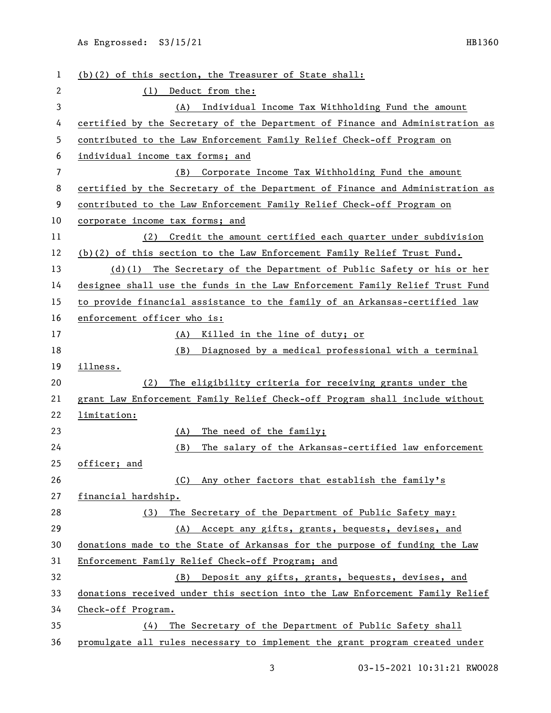As Engrossed: S3/15/21 HB1360

 (b)(2) of this section, the Treasurer of State shall: (1) Deduct from the: (A) Individual Income Tax Withholding Fund the amount certified by the Secretary of the Department of Finance and Administration as contributed to the Law Enforcement Family Relief Check-off Program on individual income tax forms; and (B) Corporate Income Tax Withholding Fund the amount certified by the Secretary of the Department of Finance and Administration as contributed to the Law Enforcement Family Relief Check-off Program on corporate income tax forms; and (2) Credit the amount certified each quarter under subdivision (b)(2) of this section to the Law Enforcement Family Relief Trust Fund. (d)(1) The Secretary of the Department of Public Safety or his or her designee shall use the funds in the Law Enforcement Family Relief Trust Fund to provide financial assistance to the family of an Arkansas-certified law enforcement officer who is: (A) Killed in the line of duty; or (B) Diagnosed by a medical professional with a terminal illness. (2) The eligibility criteria for receiving grants under the grant Law Enforcement Family Relief Check-off Program shall include without limitation: (A) The need of the family; (B) The salary of the Arkansas-certified law enforcement officer; and (C) Any other factors that establish the family's financial hardship. (3) The Secretary of the Department of Public Safety may: (A) Accept any gifts, grants, bequests, devises, and donations made to the State of Arkansas for the purpose of funding the Law Enforcement Family Relief Check-off Program; and (B) Deposit any gifts, grants, bequests, devises, and donations received under this section into the Law Enforcement Family Relief Check-off Program. (4) The Secretary of the Department of Public Safety shall promulgate all rules necessary to implement the grant program created under

03-15-2021 10:31:21 RWO028